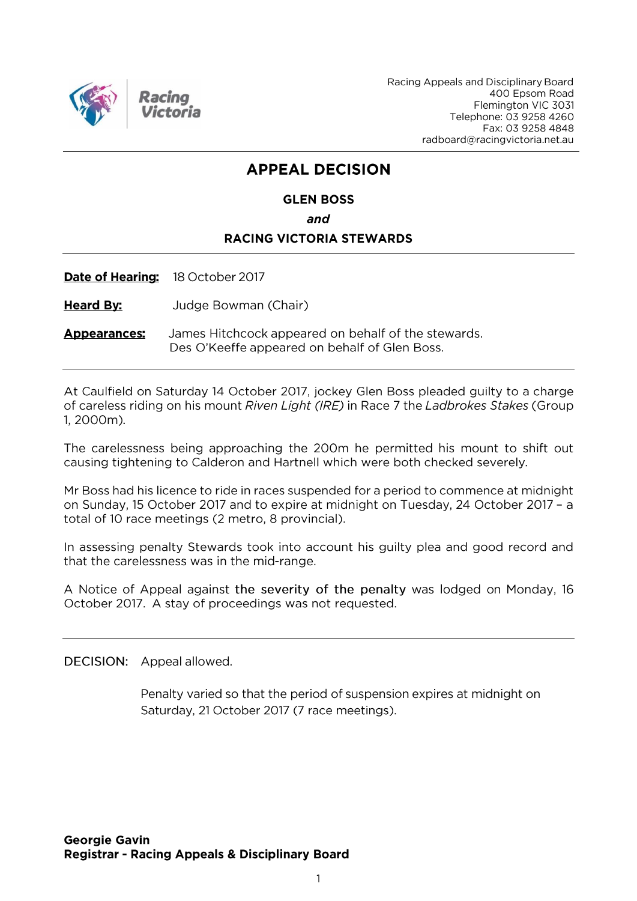

Racing Appeals and Disciplinary Board 400 Epsom Road Flemington VIC 3031 Telephone: 03 9258 4260 Fax: 03 9258 4848 radboard@racingvictoria.net.au

## **APPEAL DECISION**

### **GLEN BOSS** and **RACING VICTORIA STEWARDS**

Date of Hearing: 18 October 2017

**Heard By:** Judge Bowman (Chair)

James Hitchcock appeared on behalf of the stewards. **Appearances:** Des O'Keeffe appeared on behalf of Glen Boss.

At Caulfield on Saturday 14 October 2017, jockey Glen Boss pleaded guilty to a charge of careless riding on his mount Riven Light (IRE) in Race 7 the Ladbrokes Stakes (Group 1.2000m).

The carelessness being approaching the 200m he permitted his mount to shift out causing tightening to Calderon and Hartnell which were both checked severely.

Mr Boss had his licence to ride in races suspended for a period to commence at midnight on Sunday, 15 October 2017 and to expire at midnight on Tuesday, 24 October 2017 - a total of 10 race meetings (2 metro, 8 provincial).

In assessing penalty Stewards took into account his guilty plea and good record and that the carelessness was in the mid-range.

A Notice of Appeal against the severity of the penalty was lodged on Monday, 16 October 2017. A stay of proceedings was not requested.

DECISION: Appeal allowed.

Penalty varied so that the period of suspension expires at midnight on Saturday, 21 October 2017 (7 race meetings).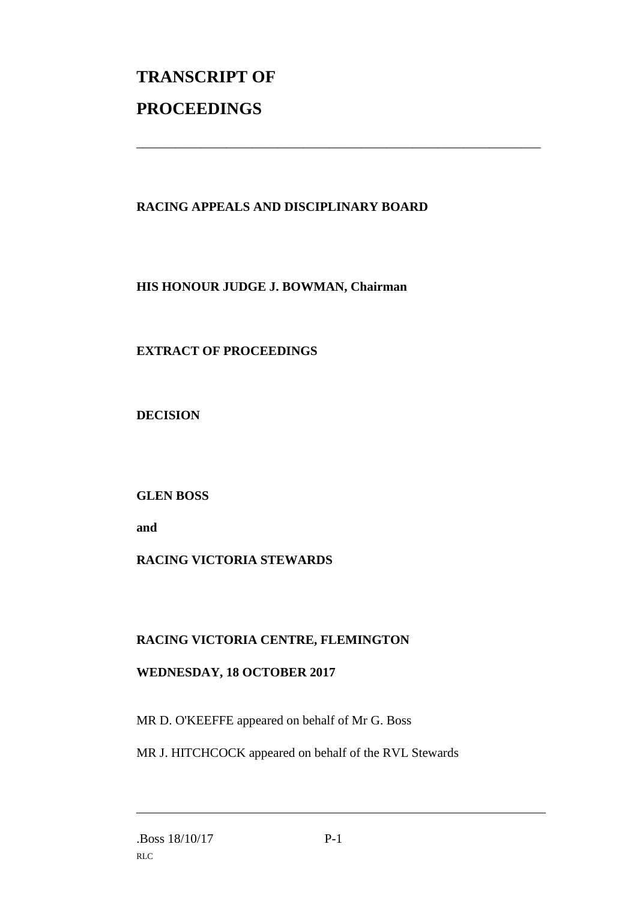# **TRANSCRIPT OF PROCEEDINGS**

#### **RACING APPEALS AND DISCIPLINARY BOARD**

\_\_\_\_\_\_\_\_\_\_\_\_\_\_\_\_\_\_\_\_\_\_\_\_\_\_\_\_\_\_\_\_\_\_\_\_\_\_\_\_\_\_\_\_\_\_\_\_\_\_\_\_\_\_\_\_\_\_\_\_\_\_\_

**HIS HONOUR JUDGE J. BOWMAN, Chairman**

#### **EXTRACT OF PROCEEDINGS**

**DECISION**

**GLEN BOSS**

**and**

#### **RACING VICTORIA STEWARDS**

#### **RACING VICTORIA CENTRE, FLEMINGTON**

#### **WEDNESDAY, 18 OCTOBER 2017**

MR D. O'KEEFFE appeared on behalf of Mr G. Boss

MR J. HITCHCOCK appeared on behalf of the RVL Stewards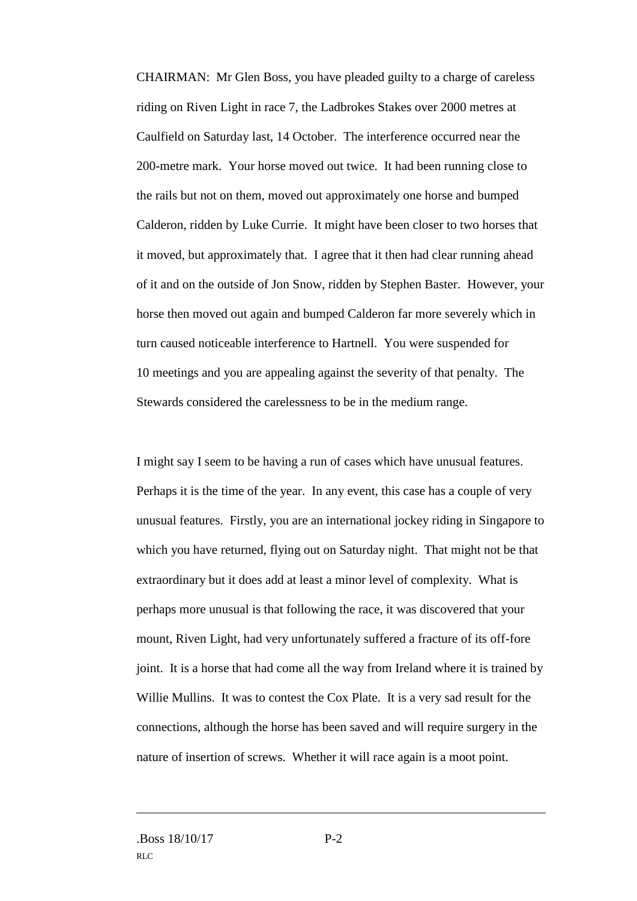CHAIRMAN: Mr Glen Boss, you have pleaded guilty to a charge of careless riding on Riven Light in race 7, the Ladbrokes Stakes over 2000 metres at Caulfield on Saturday last, 14 October. The interference occurred near the 200-metre mark. Your horse moved out twice. It had been running close to the rails but not on them, moved out approximately one horse and bumped Calderon, ridden by Luke Currie. It might have been closer to two horses that it moved, but approximately that. I agree that it then had clear running ahead of it and on the outside of Jon Snow, ridden by Stephen Baster. However, your horse then moved out again and bumped Calderon far more severely which in turn caused noticeable interference to Hartnell. You were suspended for 10 meetings and you are appealing against the severity of that penalty. The Stewards considered the carelessness to be in the medium range.

I might say I seem to be having a run of cases which have unusual features. Perhaps it is the time of the year. In any event, this case has a couple of very unusual features. Firstly, you are an international jockey riding in Singapore to which you have returned, flying out on Saturday night. That might not be that extraordinary but it does add at least a minor level of complexity. What is perhaps more unusual is that following the race, it was discovered that your mount, Riven Light, had very unfortunately suffered a fracture of its off-fore joint. It is a horse that had come all the way from Ireland where it is trained by Willie Mullins. It was to contest the Cox Plate. It is a very sad result for the connections, although the horse has been saved and will require surgery in the nature of insertion of screws. Whether it will race again is a moot point.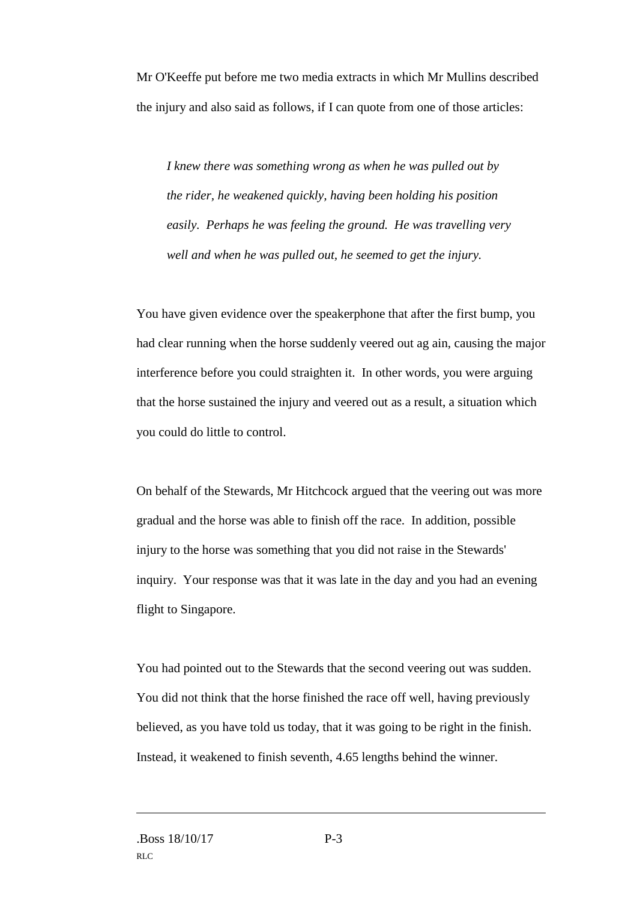Mr O'Keeffe put before me two media extracts in which Mr Mullins described the injury and also said as follows, if I can quote from one of those articles:

*I knew there was something wrong as when he was pulled out by the rider, he weakened quickly, having been holding his position easily. Perhaps he was feeling the ground. He was travelling very well and when he was pulled out, he seemed to get the injury.*

You have given evidence over the speakerphone that after the first bump, you had clear running when the horse suddenly veered out ag ain, causing the major interference before you could straighten it. In other words, you were arguing that the horse sustained the injury and veered out as a result, a situation which you could do little to control.

On behalf of the Stewards, Mr Hitchcock argued that the veering out was more gradual and the horse was able to finish off the race. In addition, possible injury to the horse was something that you did not raise in the Stewards' inquiry. Your response was that it was late in the day and you had an evening flight to Singapore.

You had pointed out to the Stewards that the second veering out was sudden. You did not think that the horse finished the race off well, having previously believed, as you have told us today, that it was going to be right in the finish. Instead, it weakened to finish seventh, 4.65 lengths behind the winner.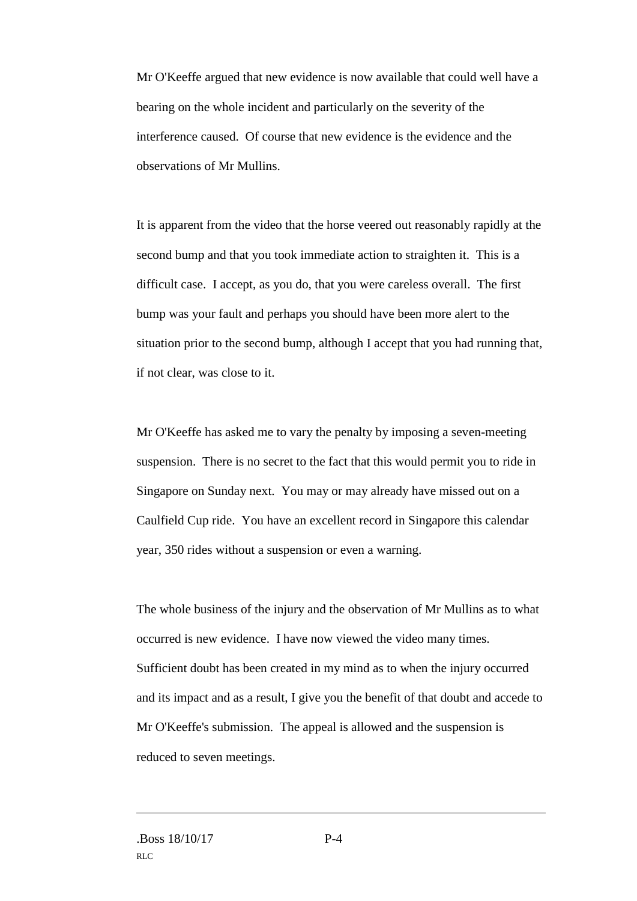Mr O'Keeffe argued that new evidence is now available that could well have a bearing on the whole incident and particularly on the severity of the interference caused. Of course that new evidence is the evidence and the observations of Mr Mullins.

It is apparent from the video that the horse veered out reasonably rapidly at the second bump and that you took immediate action to straighten it. This is a difficult case. I accept, as you do, that you were careless overall. The first bump was your fault and perhaps you should have been more alert to the situation prior to the second bump, although I accept that you had running that, if not clear, was close to it.

Mr O'Keeffe has asked me to vary the penalty by imposing a seven-meeting suspension. There is no secret to the fact that this would permit you to ride in Singapore on Sunday next. You may or may already have missed out on a Caulfield Cup ride. You have an excellent record in Singapore this calendar year, 350 rides without a suspension or even a warning.

The whole business of the injury and the observation of Mr Mullins as to what occurred is new evidence. I have now viewed the video many times. Sufficient doubt has been created in my mind as to when the injury occurred and its impact and as a result, I give you the benefit of that doubt and accede to Mr O'Keeffe's submission. The appeal is allowed and the suspension is reduced to seven meetings.